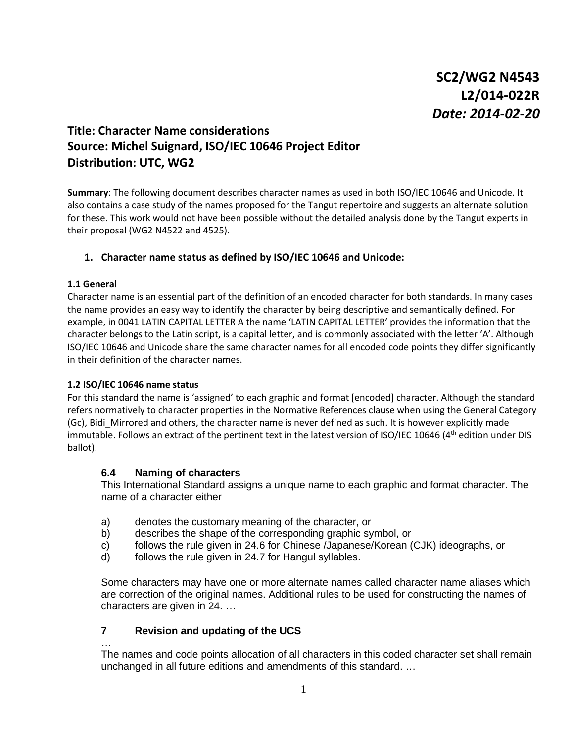# **Title: Character Name considerations Source: Michel Suignard, ISO/IEC 10646 Project Editor Distribution: UTC, WG2**

**Summary**: The following document describes character names as used in both ISO/IEC 10646 and Unicode. It also contains a case study of the names proposed for the Tangut repertoire and suggests an alternate solution for these. This work would not have been possible without the detailed analysis done by the Tangut experts in their proposal (WG2 N4522 and 4525).

# **1. Character name status as defined by ISO/IEC 10646 and Unicode:**

#### **1.1 General**

Character name is an essential part of the definition of an encoded character for both standards. In many cases the name provides an easy way to identify the character by being descriptive and semantically defined. For example, in 0041 LATIN CAPITAL LETTER A the name 'LATIN CAPITAL LETTER' provides the information that the character belongs to the Latin script, is a capital letter, and is commonly associated with the letter 'A'. Although ISO/IEC 10646 and Unicode share the same character names for all encoded code points they differ significantly in their definition of the character names.

### **1.2 ISO/IEC 10646 name status**

For this standard the name is 'assigned' to each graphic and format [encoded] character. Although the standard refers normatively to character properties in the Normative References clause when using the General Category (Gc), Bidi\_Mirrored and others, the character name is never defined as such. It is however explicitly made immutable. Follows an extract of the pertinent text in the latest version of ISO/IEC 10646 (4th edition under DIS ballot).

### **6.4 Naming of characters**

This International Standard assigns a unique name to each graphic and format character. The name of a character either

- a) denotes the customary meaning of the character, or
- b) describes the shape of the corresponding graphic symbol, or
- c) follows the rule given in 24.6 for Chinese /Japanese/Korean (CJK) ideographs, or
- d) follows the rule given in 24.7 for Hangul syllables.

Some characters may have one or more alternate names called character name aliases which are correction of the original names. Additional rules to be used for constructing the names of characters are given in 24. …

### **7 Revision and updating of the UCS**

#### …

The names and code points allocation of all characters in this coded character set shall remain unchanged in all future editions and amendments of this standard. …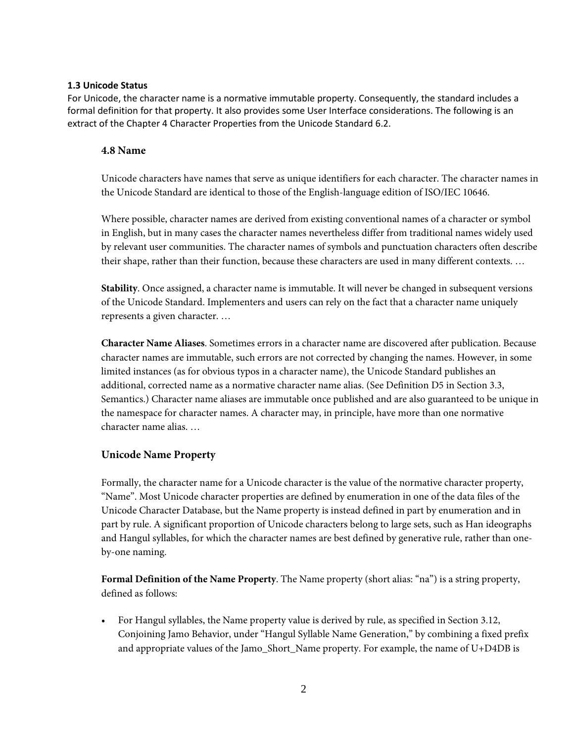### **1.3 Unicode Status**

For Unicode, the character name is a normative immutable property. Consequently, the standard includes a formal definition for that property. It also provides some User Interface considerations. The following is an extract of the Chapter 4 Character Properties from the Unicode Standard 6.2.

### **4.8 Name**

Unicode characters have names that serve as unique identifiers for each character. The character names in the Unicode Standard are identical to those of the English-language edition of ISO/IEC 10646.

Where possible, character names are derived from existing conventional names of a character or symbol in English, but in many cases the character names nevertheless differ from traditional names widely used by relevant user communities. The character names of symbols and punctuation characters often describe their shape, rather than their function, because these characters are used in many different contexts. …

**Stability**. Once assigned, a character name is immutable. It will never be changed in subsequent versions of the Unicode Standard. Implementers and users can rely on the fact that a character name uniquely represents a given character. …

**Character Name Aliases**. Sometimes errors in a character name are discovered after publication. Because character names are immutable, such errors are not corrected by changing the names. However, in some limited instances (as for obvious typos in a character name), the Unicode Standard publishes an additional, corrected name as a normative character name alias. (See Definition D5 in Section 3.3, Semantics.) Character name aliases are immutable once published and are also guaranteed to be unique in the namespace for character names. A character may, in principle, have more than one normative character name alias. …

### **Unicode Name Property**

Formally, the character name for a Unicode character is the value of the normative character property, "Name". Most Unicode character properties are defined by enumeration in one of the data files of the Unicode Character Database, but the Name property is instead defined in part by enumeration and in part by rule. A significant proportion of Unicode characters belong to large sets, such as Han ideographs and Hangul syllables, for which the character names are best defined by generative rule, rather than oneby-one naming.

**Formal Definition of the Name Property**. The Name property (short alias: "na") is a string property, defined as follows:

• For Hangul syllables, the Name property value is derived by rule, as specified in Section 3.12, Conjoining Jamo Behavior, under "Hangul Syllable Name Generation," by combining a fixed prefix and appropriate values of the Jamo\_Short\_Name property. For example, the name of U+D4DB is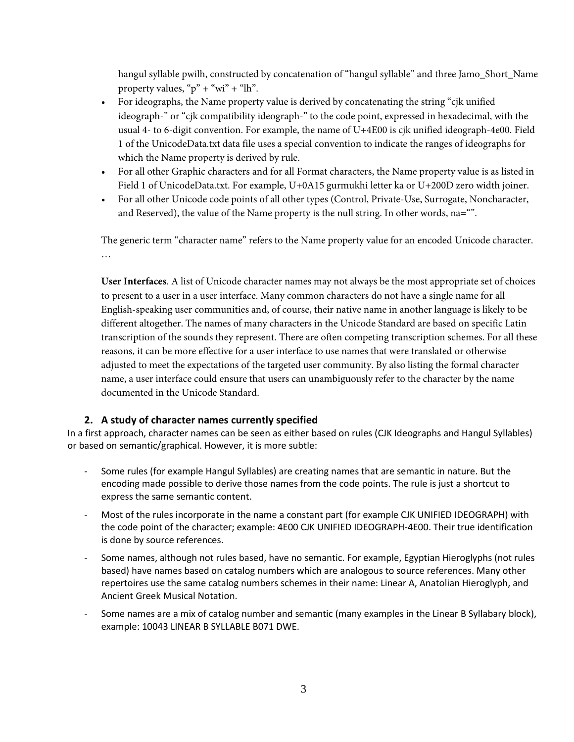hangul syllable pwilh, constructed by concatenation of "hangul syllable" and three Jamo\_Short\_Name property values, " $p$ " + "wi" + "lh".

- For ideographs, the Name property value is derived by concatenating the string "cjk unified ideograph-" or "cjk compatibility ideograph-" to the code point, expressed in hexadecimal, with the usual 4- to 6-digit convention. For example, the name of U+4E00 is cjk unified ideograph-4e00. Field 1 of the UnicodeData.txt data file uses a special convention to indicate the ranges of ideographs for which the Name property is derived by rule.
- For all other Graphic characters and for all Format characters, the Name property value is as listed in Field 1 of UnicodeData.txt. For example, U+0A15 gurmukhi letter ka or U+200D zero width joiner.
- For all other Unicode code points of all other types (Control, Private-Use, Surrogate, Noncharacter, and Reserved), the value of the Name property is the null string. In other words, na="".

The generic term "character name" refers to the Name property value for an encoded Unicode character. …

**User Interfaces**. A list of Unicode character names may not always be the most appropriate set of choices to present to a user in a user interface. Many common characters do not have a single name for all English-speaking user communities and, of course, their native name in another language is likely to be different altogether. The names of many characters in the Unicode Standard are based on specific Latin transcription of the sounds they represent. There are often competing transcription schemes. For all these reasons, it can be more effective for a user interface to use names that were translated or otherwise adjusted to meet the expectations of the targeted user community. By also listing the formal character name, a user interface could ensure that users can unambiguously refer to the character by the name documented in the Unicode Standard.

# **2. A study of character names currently specified**

In a first approach, character names can be seen as either based on rules (CJK Ideographs and Hangul Syllables) or based on semantic/graphical. However, it is more subtle:

- Some rules (for example Hangul Syllables) are creating names that are semantic in nature. But the encoding made possible to derive those names from the code points. The rule is just a shortcut to express the same semantic content.
- Most of the rules incorporate in the name a constant part (for example CJK UNIFIED IDEOGRAPH) with the code point of the character; example: 4E00 CJK UNIFIED IDEOGRAPH-4E00. Their true identification is done by source references.
- Some names, although not rules based, have no semantic. For example, Egyptian Hieroglyphs (not rules based) have names based on catalog numbers which are analogous to source references. Many other repertoires use the same catalog numbers schemes in their name: Linear A, Anatolian Hieroglyph, and Ancient Greek Musical Notation.
- Some names are a mix of catalog number and semantic (many examples in the Linear B Syllabary block), example: 10043 LINEAR B SYLLABLE B071 DWE.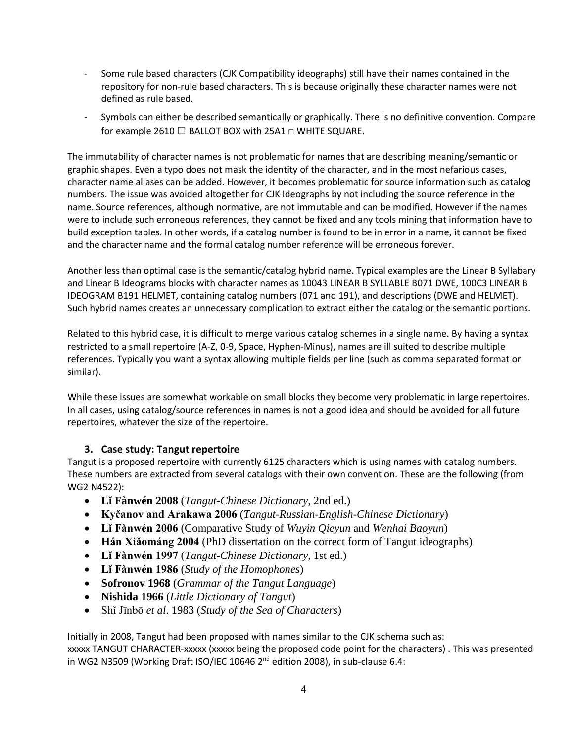- Some rule based characters (CJK Compatibility ideographs) still have their names contained in the repository for non-rule based characters. This is because originally these character names were not defined as rule based.
- Symbols can either be described semantically or graphically. There is no definitive convention. Compare for example 2610 □ BALLOT BOX with 25A1 □ WHITE SQUARE.

The immutability of character names is not problematic for names that are describing meaning/semantic or graphic shapes. Even a typo does not mask the identity of the character, and in the most nefarious cases, character name aliases can be added. However, it becomes problematic for source information such as catalog numbers. The issue was avoided altogether for CJK Ideographs by not including the source reference in the name. Source references, although normative, are not immutable and can be modified. However if the names were to include such erroneous references, they cannot be fixed and any tools mining that information have to build exception tables. In other words, if a catalog number is found to be in error in a name, it cannot be fixed and the character name and the formal catalog number reference will be erroneous forever.

Another less than optimal case is the semantic/catalog hybrid name. Typical examples are the Linear B Syllabary and Linear B Ideograms blocks with character names as 10043 LINEAR B SYLLABLE B071 DWE, 100C3 LINEAR B IDEOGRAM B191 HELMET, containing catalog numbers (071 and 191), and descriptions (DWE and HELMET). Such hybrid names creates an unnecessary complication to extract either the catalog or the semantic portions.

Related to this hybrid case, it is difficult to merge various catalog schemes in a single name. By having a syntax restricted to a small repertoire (A-Z, 0-9, Space, Hyphen-Minus), names are ill suited to describe multiple references. Typically you want a syntax allowing multiple fields per line (such as comma separated format or similar).

While these issues are somewhat workable on small blocks they become very problematic in large repertoires. In all cases, using catalog/source references in names is not a good idea and should be avoided for all future repertoires, whatever the size of the repertoire.

# **3. Case study: Tangut repertoire**

Tangut is a proposed repertoire with currently 6125 characters which is using names with catalog numbers. These numbers are extracted from several catalogs with their own convention. These are the following (from WG2 N4522):

- **Lǐ Fànwén 2008** (*Tangut-Chinese Dictionary*, 2nd ed.)
- **Kyčanov and Arakawa 2006** (*Tangut-Russian-English-Chinese Dictionary*)
- **Lǐ Fànwén 2006** (Comparative Study of *Wuyin Qieyun* and *Wenhai Baoyun*)
- **Hán Xiǎománg 2004** (PhD dissertation on the correct form of Tangut ideographs)
- **Lǐ Fànwén 1997** (*Tangut-Chinese Dictionary*, 1st ed.)
- **Lǐ Fànwén 1986** (*Study of the Homophones*)
- **Sofronov 1968** (*Grammar of the Tangut Language*)
- **Nishida 1966** (*Little Dictionary of Tangut*)
- Shǐ Jīnbō *et al*. 1983 (*Study of the Sea of Characters*)

Initially in 2008, Tangut had been proposed with names similar to the CJK schema such as:

xxxxx TANGUT CHARACTER-xxxxx (xxxxx being the proposed code point for the characters) . This was presented in WG2 N3509 (Working Draft ISO/IEC 10646 2<sup>nd</sup> edition 2008), in sub-clause 6.4: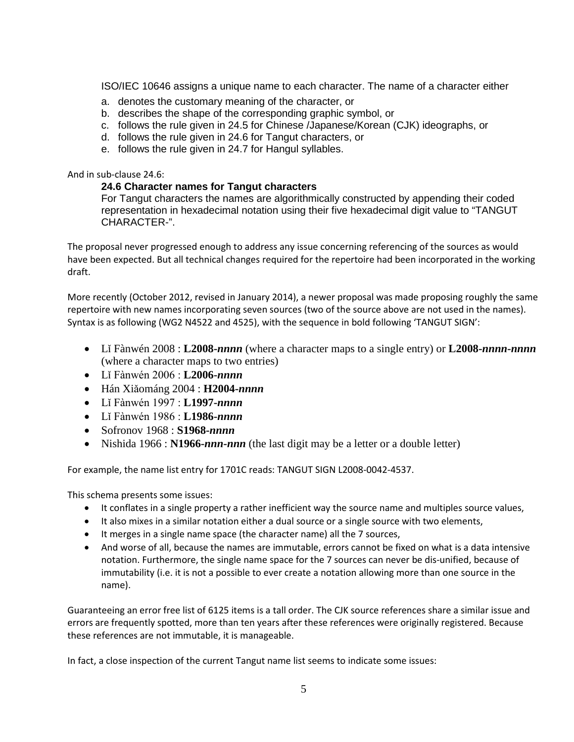ISO/IEC 10646 assigns a unique name to each character. The name of a character either

- a. denotes the customary meaning of the character, or
- b. describes the shape of the corresponding graphic symbol, or
- c. follows the rule given in 24.5 for Chinese /Japanese/Korean (CJK) ideographs, or
- d. follows the rule given in 24.6 for Tangut characters, or
- e. follows the rule given in 24.7 for Hangul syllables.

### And in sub-clause 24.6:

### **24.6 Character names for Tangut characters**

For Tangut characters the names are algorithmically constructed by appending their coded representation in hexadecimal notation using their five hexadecimal digit value to "TANGUT CHARACTER-".

The proposal never progressed enough to address any issue concerning referencing of the sources as would have been expected. But all technical changes required for the repertoire had been incorporated in the working draft.

More recently (October 2012, revised in January 2014), a newer proposal was made proposing roughly the same repertoire with new names incorporating seven sources (two of the source above are not used in the names). Syntax is as following (WG2 N4522 and 4525), with the sequence in bold following 'TANGUT SIGN':

- Lǐ Fànwén 2008 : **L2008-***nnnn* (where a character maps to a single entry) or **L2008-***nnnn-nnnn*  (where a character maps to two entries)
- Lǐ Fànwén 2006 : **L2006-***nnnn*
- Hán Xiǎománg 2004 : **H2004-***nnnn*
- Lǐ Fànwén 1997 : **L1997-***nnnn*
- Lǐ Fànwén 1986 : **L1986-***nnnn*
- Sofronov 1968 : **S1968-***nnnn*
- Nishida 1966 : **N1966-***nnn-nnn* (the last digit may be a letter or a double letter)

For example, the name list entry for 1701C reads: TANGUT SIGN L2008-0042-4537.

This schema presents some issues:

- It conflates in a single property a rather inefficient way the source name and multiples source values,
- It also mixes in a similar notation either a dual source or a single source with two elements,
- It merges in a single name space (the character name) all the 7 sources,
- And worse of all, because the names are immutable, errors cannot be fixed on what is a data intensive notation. Furthermore, the single name space for the 7 sources can never be dis-unified, because of immutability (i.e. it is not a possible to ever create a notation allowing more than one source in the name).

Guaranteeing an error free list of 6125 items is a tall order. The CJK source references share a similar issue and errors are frequently spotted, more than ten years after these references were originally registered. Because these references are not immutable, it is manageable.

In fact, a close inspection of the current Tangut name list seems to indicate some issues: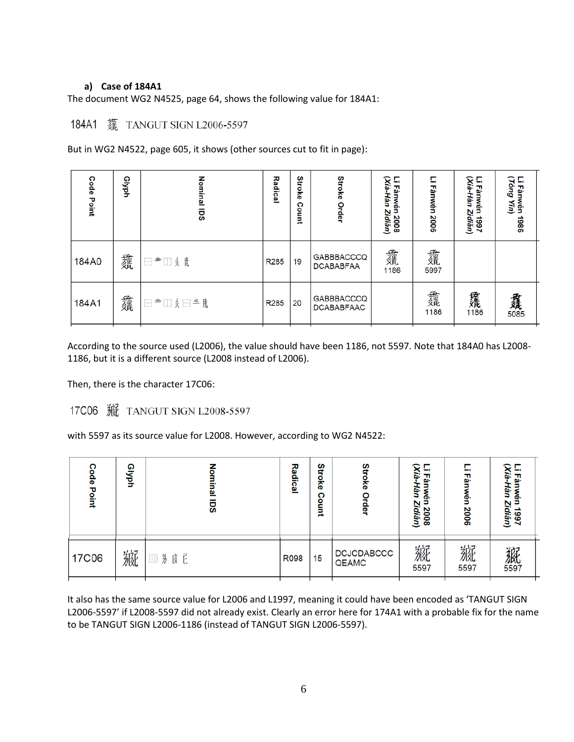### **a) Case of 184A1**

The document WG2 N4525, page 64, shows the following value for 184A1:

# 184A1 蘧 TANGUT SIGN L2006-5597

But in WG2 N4522, page 605, it shows (other sources cut to fit in page):

| Code<br>Point | Glyph | Nominal<br>ច្ឆ | Radical          | Stroke<br>Count | Stroke<br>Order                        | (Xià-Hàn<br>Γ,<br>Fànwé<br>Zìdiăn)<br>2008 | Fànwén<br>2006 | (Xià-Hàn<br>c,<br>Fànwén<br>Zidiăn)<br>1997 | 6uo<br>Fân<br>Wén<br>ЯŘ<br>1986 |
|---------------|-------|----------------|------------------|-----------------|----------------------------------------|--------------------------------------------|----------------|---------------------------------------------|---------------------------------|
| 184A0         | 蠹     | □■□《 【         | R <sub>285</sub> | 19              | <b>GABBBACCCQ</b><br><b>DCABABFAA</b>  | 蠹<br>1186                                  | 蠹<br>5997      |                                             |                                 |
| 184A1         | 蠢     | ⊟≝□纟⊟≛凡        | R <sub>285</sub> | 20              | <b>GABBBACCCQ</b><br><b>DCABABFAAC</b> |                                            | 蠢<br>1186      | <b>蘿</b><br>1186                            | 纛                               |

According to the source used (L2006), the value should have been 1186, not 5597. Note that 184A0 has L2008- 1186, but it is a different source (L2008 instead of L2006).

Then, there is the character 17C06:

with 5597 as its source value for L2008. However, according to WG2 N4522:

| ຕ<br>နို<br>Point | ໑<br><b>Lyph</b> | ഇ<br><u>ns</u>                                                                                                                                                                    | Radical | Stroke<br>ດ<br>inuo: | Stroke<br>Order            | ≎<br>$-$<br>m.<br>굢<br>g.<br>ή.<br>Ŋ<br>2008<br>idiăn) | - 1<br>ᇟ<br>$\tilde{\mathbf{e}}$<br>2006 | ≎<br>E.<br>ā.<br>굢<br>Hàn<br>శ్ర్<br>Zidiăn)<br>1661 |
|-------------------|------------------|-----------------------------------------------------------------------------------------------------------------------------------------------------------------------------------|---------|----------------------|----------------------------|--------------------------------------------------------|------------------------------------------|------------------------------------------------------|
| <b>17C06</b>      | 綩                | <b>茅  尼</b><br>$[] \centering \includegraphics[width=0.47\textwidth]{figs/fig_10002} \caption{The 3D (blue) and the 4D (blue) are shown in Fig.~\ref{fig:10}.} \label{fig:10003}$ | R098    | 15                   | <b>DCJCDABCCC</b><br>QEAMC | 綩<br>5597                                              | 綩<br>5597                                | 飙                                                    |

It also has the same source value for L2006 and L1997, meaning it could have been encoded as 'TANGUT SIGN L2006-5597' if L2008-5597 did not already exist. Clearly an error here for 174A1 with a probable fix for the name to be TANGUT SIGN L2006-1186 (instead of TANGUT SIGN L2006-5597).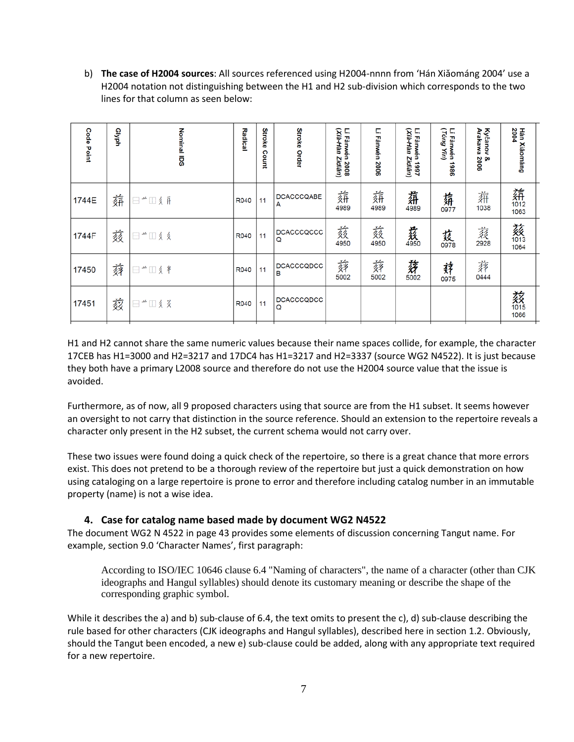b) **The case of H2004 sources**: All sources referenced using H2004-nnnn from 'Hán Xiǎománg 2004' use a H2004 notation not distinguishing between the H1 and H2 sub-division which corresponds to the two lines for that column as seen below:

| <b>Code Point</b> | dyph | <b>Nominal IDS</b> | Radical | Stroke<br>Count | <b>Stroke Order</b>    | (Xià-Hàn<br>Lĭ Fànwén 2008<br>Zidiăn) | Lǐ Fànwén 2006 | Lĭ Fànwén 1997<br>(Xià-Hàn Zìdiăn) | Lǐ Fànwén 1986<br>(Tóng Yĩn) | Kyčanov &<br>Arakawa 2006 | 2004<br>Hán Xiăománg |
|-------------------|------|--------------------|---------|-----------------|------------------------|---------------------------------------|----------------|------------------------------------|------------------------------|---------------------------|----------------------|
| 1744E             | 蕏    | □←Ⅲ《日              | R040    | 11              | <b>DCACCCQABE</b><br>A | 奫                                     | 薪              | 磊                                  | 薪                            | 奫                         | 薪                    |
| 1744F             | 颏    | □ "□ 《 《           | R040    | 11              | DCACCCQCCC<br>Q        | 薮<br>4950                             | 蔹<br>4950      | 姦                                  | 茲                            | 菽<br>2928                 | 薮阳                   |
| 17450             | 蕣    | □ "□ 《 半           | R040    | 11              | DCACCCQDCC<br>в        | 蕣                                     | 蕣<br>5002      | 豬                                  | 萪<br>0975                    | 葬<br>0444                 |                      |
| 17451             | 兹    | □ 一 □ 彡 爻          | R040    | 11              | <b>DCACCCQDCC</b><br>Q |                                       |                |                                    |                              |                           | 菝<br>1066            |

H1 and H2 cannot share the same numeric values because their name spaces collide, for example, the character 17CEB has H1=3000 and H2=3217 and 17DC4 has H1=3217 and H2=3337 (source WG2 N4522). It is just because they both have a primary L2008 source and therefore do not use the H2004 source value that the issue is avoided.

Furthermore, as of now, all 9 proposed characters using that source are from the H1 subset. It seems however an oversight to not carry that distinction in the source reference. Should an extension to the repertoire reveals a character only present in the H2 subset, the current schema would not carry over.

These two issues were found doing a quick check of the repertoire, so there is a great chance that more errors exist. This does not pretend to be a thorough review of the repertoire but just a quick demonstration on how using cataloging on a large repertoire is prone to error and therefore including catalog number in an immutable property (name) is not a wise idea.

# **4. Case for catalog name based made by document WG2 N4522**

The document WG2 N 4522 in page 43 provides some elements of discussion concerning Tangut name. For example, section 9.0 'Character Names', first paragraph:

According to ISO/IEC 10646 clause 6.4 "Naming of characters", the name of a character (other than CJK ideographs and Hangul syllables) should denote its customary meaning or describe the shape of the corresponding graphic symbol.

While it describes the a) and b) sub-clause of 6.4, the text omits to present the c), d) sub-clause describing the rule based for other characters (CJK ideographs and Hangul syllables), described here in section 1.2. Obviously, should the Tangut been encoded, a new e) sub-clause could be added, along with any appropriate text required for a new repertoire.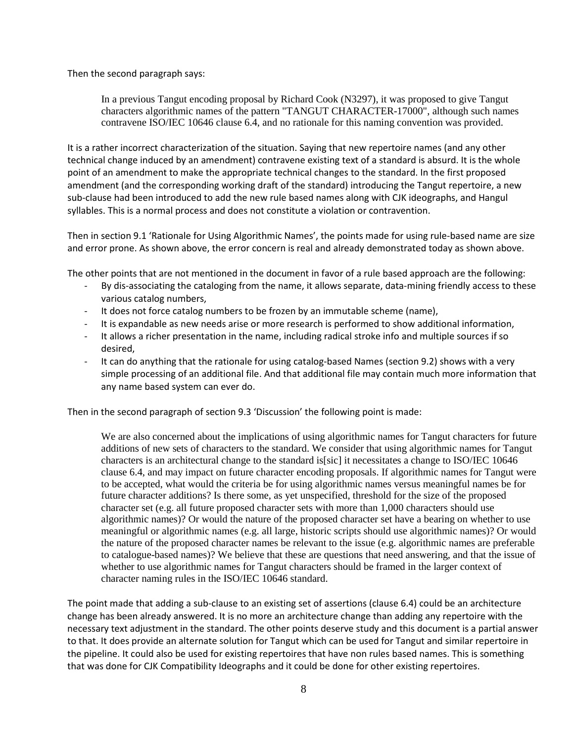Then the second paragraph says:

In a previous Tangut encoding proposal by Richard Cook (N3297), it was proposed to give Tangut characters algorithmic names of the pattern "TANGUT CHARACTER-17000", although such names contravene ISO/IEC 10646 clause 6.4, and no rationale for this naming convention was provided.

It is a rather incorrect characterization of the situation. Saying that new repertoire names (and any other technical change induced by an amendment) contravene existing text of a standard is absurd. It is the whole point of an amendment to make the appropriate technical changes to the standard. In the first proposed amendment (and the corresponding working draft of the standard) introducing the Tangut repertoire, a new sub-clause had been introduced to add the new rule based names along with CJK ideographs, and Hangul syllables. This is a normal process and does not constitute a violation or contravention.

Then in section 9.1 'Rationale for Using Algorithmic Names', the points made for using rule-based name are size and error prone. As shown above, the error concern is real and already demonstrated today as shown above.

The other points that are not mentioned in the document in favor of a rule based approach are the following:

- By dis-associating the cataloging from the name, it allows separate, data-mining friendly access to these various catalog numbers,
- It does not force catalog numbers to be frozen by an immutable scheme (name),
- It is expandable as new needs arise or more research is performed to show additional information,
- It allows a richer presentation in the name, including radical stroke info and multiple sources if so desired,
- It can do anything that the rationale for using catalog-based Names (section 9.2) shows with a very simple processing of an additional file. And that additional file may contain much more information that any name based system can ever do.

Then in the second paragraph of section 9.3 'Discussion' the following point is made:

We are also concerned about the implications of using algorithmic names for Tangut characters for future additions of new sets of characters to the standard. We consider that using algorithmic names for Tangut characters is an architectural change to the standard is[sic] it necessitates a change to ISO/IEC 10646 clause 6.4, and may impact on future character encoding proposals. If algorithmic names for Tangut were to be accepted, what would the criteria be for using algorithmic names versus meaningful names be for future character additions? Is there some, as yet unspecified, threshold for the size of the proposed character set (e.g. all future proposed character sets with more than 1,000 characters should use algorithmic names)? Or would the nature of the proposed character set have a bearing on whether to use meaningful or algorithmic names (e.g. all large, historic scripts should use algorithmic names)? Or would the nature of the proposed character names be relevant to the issue (e.g. algorithmic names are preferable to catalogue-based names)? We believe that these are questions that need answering, and that the issue of whether to use algorithmic names for Tangut characters should be framed in the larger context of character naming rules in the ISO/IEC 10646 standard.

The point made that adding a sub-clause to an existing set of assertions (clause 6.4) could be an architecture change has been already answered. It is no more an architecture change than adding any repertoire with the necessary text adjustment in the standard. The other points deserve study and this document is a partial answer to that. It does provide an alternate solution for Tangut which can be used for Tangut and similar repertoire in the pipeline. It could also be used for existing repertoires that have non rules based names. This is something that was done for CJK Compatibility Ideographs and it could be done for other existing repertoires.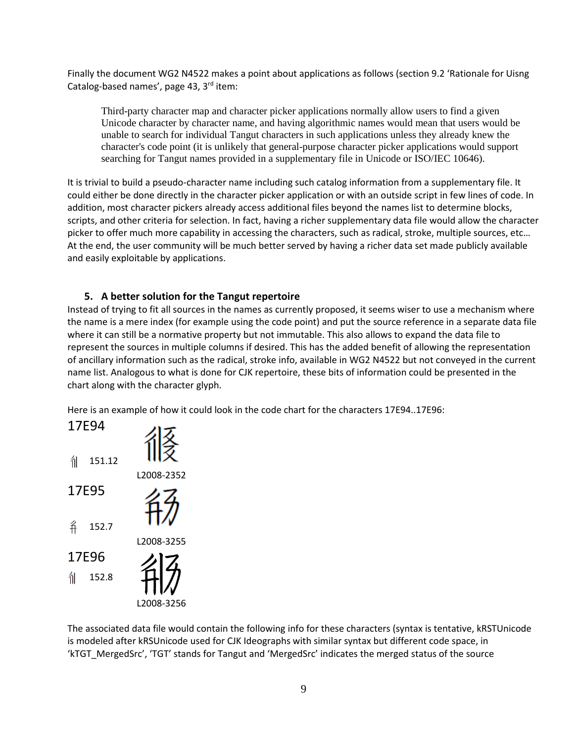Finally the document WG2 N4522 makes a point about applications as follows (section 9.2 'Rationale for Uisng Catalog-based names', page 43,  $3<sup>rd</sup>$  item:

Third-party character map and character picker applications normally allow users to find a given Unicode character by character name, and having algorithmic names would mean that users would be unable to search for individual Tangut characters in such applications unless they already knew the character's code point (it is unlikely that general-purpose character picker applications would support searching for Tangut names provided in a supplementary file in Unicode or ISO/IEC 10646).

It is trivial to build a pseudo-character name including such catalog information from a supplementary file. It could either be done directly in the character picker application or with an outside script in few lines of code. In addition, most character pickers already access additional files beyond the names list to determine blocks, scripts, and other criteria for selection. In fact, having a richer supplementary data file would allow the character picker to offer much more capability in accessing the characters, such as radical, stroke, multiple sources, etc… At the end, the user community will be much better served by having a richer data set made publicly available and easily exploitable by applications.

# **5. A better solution for the Tangut repertoire**

Instead of trying to fit all sources in the names as currently proposed, it seems wiser to use a mechanism where the name is a mere index (for example using the code point) and put the source reference in a separate data file where it can still be a normative property but not immutable. This also allows to expand the data file to represent the sources in multiple columns if desired. This has the added benefit of allowing the representation of ancillary information such as the radical, stroke info, available in WG2 N4522 but not conveyed in the current name list. Analogous to what is done for CJK repertoire, these bits of information could be presented in the chart along with the character glyph.

Here is an example of how it could look in the code chart for the characters 17E94..17E96:



The associated data file would contain the following info for these characters (syntax is tentative, kRSTUnicode is modeled after kRSUnicode used for CJK Ideographs with similar syntax but different code space, in 'kTGT\_MergedSrc', 'TGT' stands for Tangut and 'MergedSrc' indicates the merged status of the source